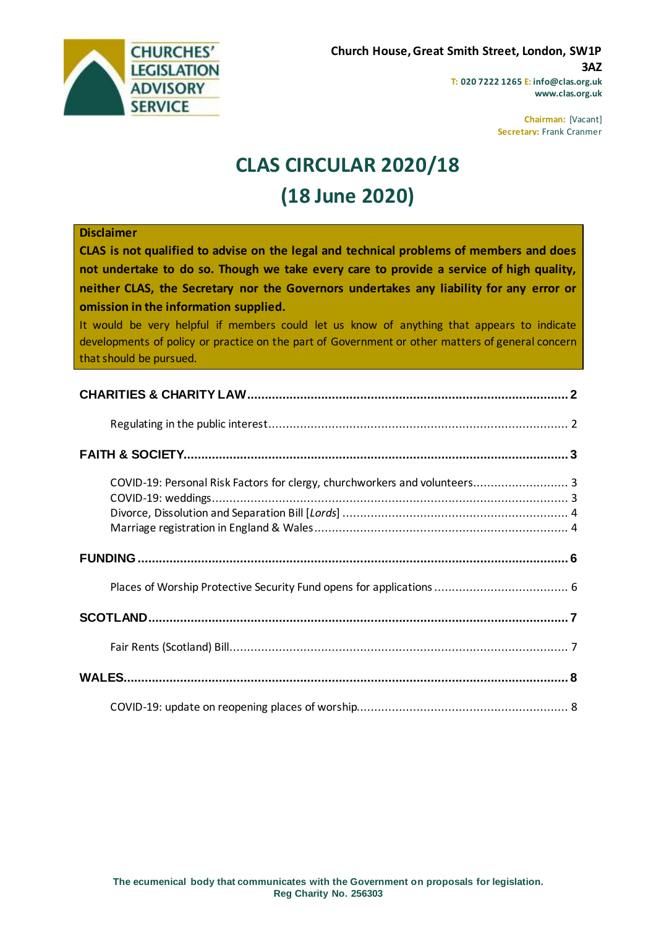

**www.clas.org.uk**

**Chairman:** [Vacant] **Secretary:** Frank Cranmer

# **CLAS CIRCULAR 2020/18 (18 June 2020)**

#### **Disclaimer**

**CLAS is not qualified to advise on the legal and technical problems of members and does not undertake to do so. Though we take every care to provide a service of high quality, neither CLAS, the Secretary nor the Governors undertakes any liability for any error or omission in the information supplied.**

It would be very helpful if members could let us know of anything that appears to indicate developments of policy or practice on the part of Government or other matters of general concern that should be pursued.

| COVID-19: Personal Risk Factors for clergy, churchworkers and volunteers 3 |  |
|----------------------------------------------------------------------------|--|
|                                                                            |  |
|                                                                            |  |
|                                                                            |  |
|                                                                            |  |
|                                                                            |  |
|                                                                            |  |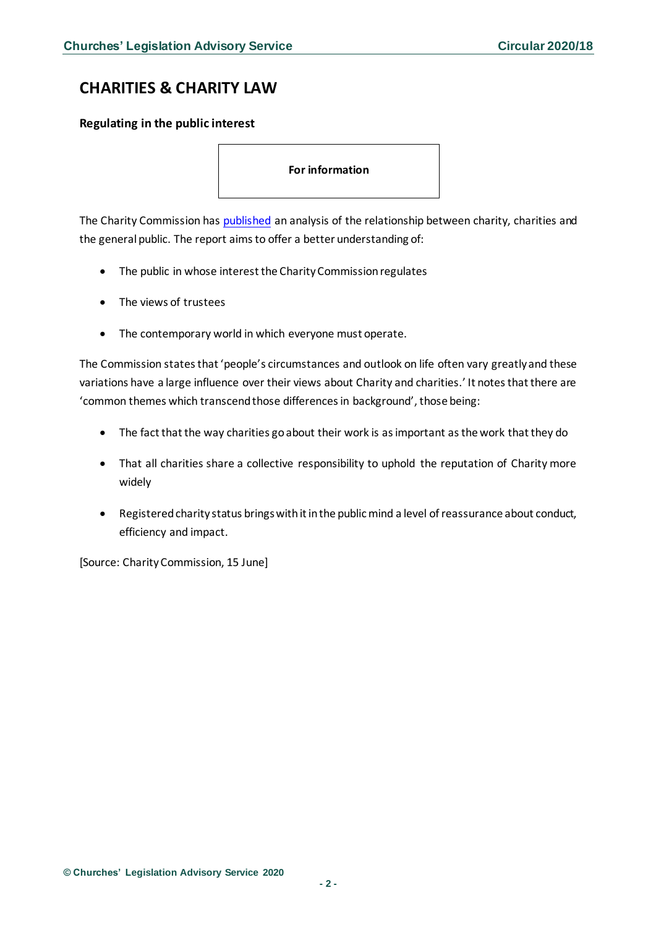# <span id="page-1-0"></span>**CHARITIES & CHARITY LAW**

### <span id="page-1-1"></span>**Regulating in the public interest**

**For information** 

The Charity Commission has [published](https://assets.publishing.service.gov.uk/government/uploads/system/uploads/attachment_data/file/891221/Regulating_in_the_public_interest_research_report.pdf) an analysis of the relationship between charity, charities and the general public. The report aims to offer a better understanding of:

- The public in whose interest the Charity Commission regulates
- The views of trustees
- The contemporary world in which everyone must operate.

The Commission states that 'people's circumstances and outlook on life often vary greatly and these variations have a large influence over their views about Charity and charities.' It notes that there are 'common themes which transcend those differences in background', those being:

- The fact that the way charities go about their work is as important as the work that they do
- That all charities share a collective responsibility to uphold the reputation of Charity more widely
- Registered charity status brings with it in the public mind a level of reassurance about conduct, efficiency and impact.

[Source: Charity Commission, 15 June]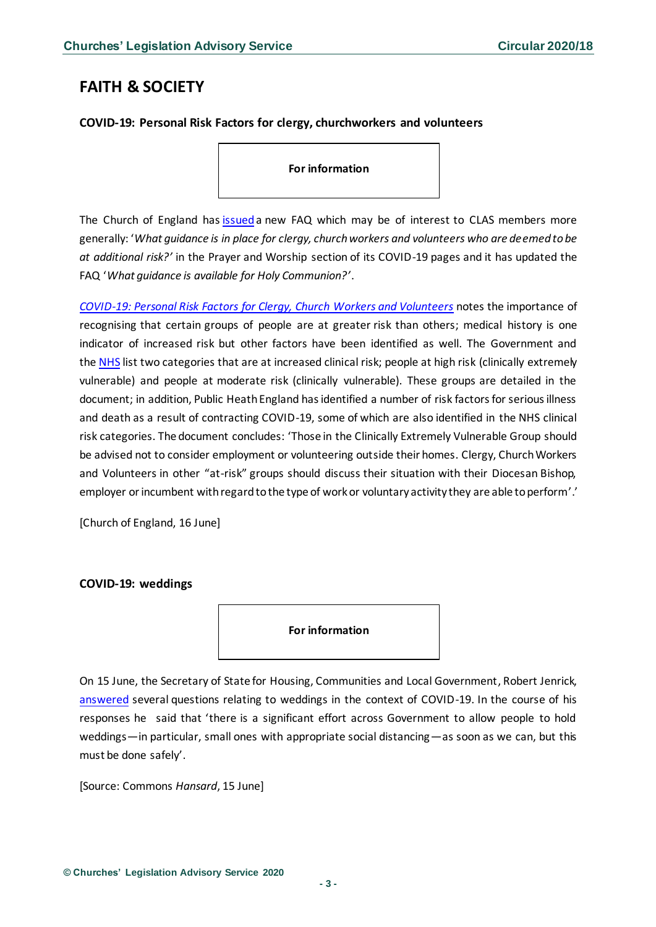# <span id="page-2-0"></span>**FAITH & SOCIETY**

### <span id="page-2-1"></span>**COVID-19: Personal Risk Factors for clergy, churchworkers and volunteers**

**For information** 

The Church of England has [issued](https://www.churchofengland.org/more/media-centre/coronavirus-covid-19-guidance-churches) a new FAQ which may be of interest to CLAS members more generally: '*What guidance is in place for clergy, church workers and volunteers who are deemed to be at additional risk?'* in the Prayer and Worship section of its COVID-19 pages and it has updated the FAQ '*What guidance is available for Holy Communion?'*.

*[COVID-19: Personal Risk Factors for Clergy, Church Workers and Volunteers](https://www.churchofengland.org/sites/default/files/2020-06/Personal%20Risk%20Factors%20for%20Clergy%2C%20Church%20Workers%20and%20Volunteers%20v1.pdf)* notes the importance of recognising that certain groups of people are at greater risk than others; medical history is one indicator of increased risk but other factors have been identified as well. The Government and the [NHS](https://www.nhs.uk/conditions/coronavirus-covid-19/people-at-higher-risk/) list two categories that are at increased clinical risk; people at high risk (clinically extremely vulnerable) and people at moderate risk (clinically vulnerable). These groups are detailed in the document; in addition, Public Heath England has identified a number of risk factors for serious illness and death as a result of contracting COVID-19, some of which are also identified in the NHS clinical risk categories. The document concludes: 'Those in the Clinically Extremely Vulnerable Group should be advised not to consider employment or volunteering outside their homes. Clergy, Church Workers and Volunteers in other "at-risk" groups should discuss their situation with their Diocesan Bishop, employer or incumbent with regard to the type of work or voluntary activity they are able to perform'.'

[Church of England, 16 June]

#### <span id="page-2-2"></span>**COVID-19: weddings**

**For information** 

On 15 June, the Secretary of State for Housing, Communities and Local Government, Robert Jenrick, [answered](https://hansard.parliament.uk/commons/2020-06-15/debates/CC2FB3BB-DB37-4CCF-931F-DEFB5E17F0DF/WeddingsSectorCovid-19) several questions relating to weddings in the context of COVID-19. In the course of his responses he said that 'there is a significant effort across Government to allow people to hold weddings—in particular, small ones with appropriate social distancing—as soon as we can, but this must be done safely'.

[Source: Commons *Hansard*, 15 June]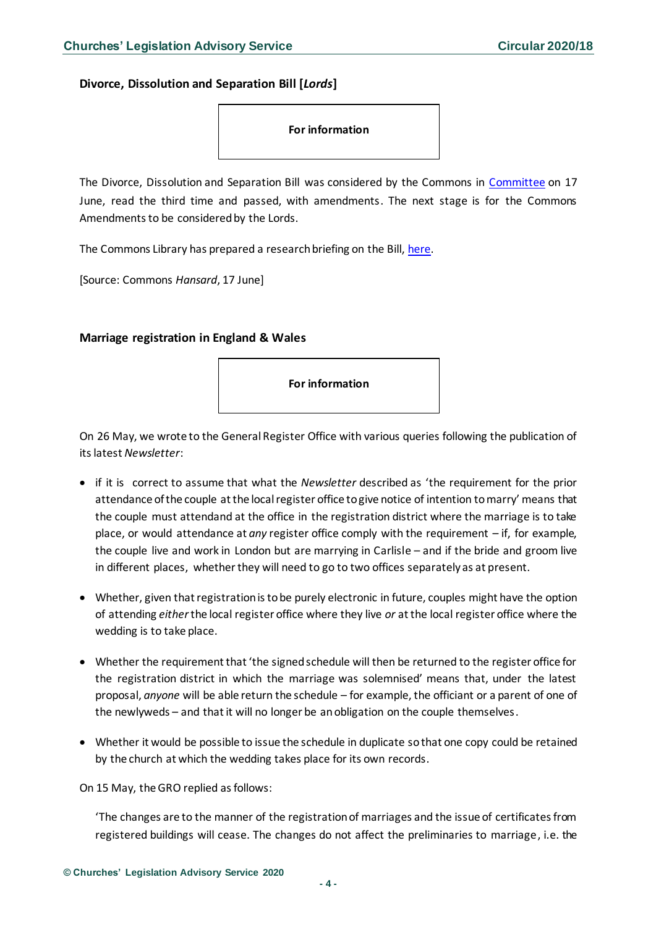<span id="page-3-0"></span>**Divorce, Dissolution and Separation Bill [***Lords***]**



The Divorce, Dissolution and Separation Bill was considered by the Commons in [Committee](https://hansard.parliament.uk/commons/2020-06-17/debates/45EE5F3F-8AE6-413D-AF68-EDA8484726CD/DivorceDissolutionAndSeparationBill(Lords)) on 17 June, read the third time and passed, with amendments. The next stage is for the Commons Amendments to be considered by the Lords.

The Commons Library has prepared a research briefing on the Bill[, here.](https://commonslibrary.parliament.uk/research-briefings/cbp-8697/)

[Source: Commons *Hansard*, 17 June]

#### <span id="page-3-1"></span>**Marriage registration in England & Wales**

**For information** 

On 26 May, we wrote to the General Register Office with various queries following the publication of its latest *Newsletter*:

- if it is correct to assume that what the *Newsletter* described as 'the requirement for the prior attendance of the couple at the local register office to give notice of intention to marry' means that the couple must attendand at the office in the registration district where the marriage is to take place, or would attendance at *any* register office comply with the requirement – if, for example, the couple live and work in London but are marrying in Carlisle – and if the bride and groom live in different places, whether they will need to go to two offices separately as at present.
- Whether, given that registration is to be purely electronic in future, couples might have the option of attending *either*the local register office where they live *or* at the local register office where the wedding is to take place.
- Whether the requirement that 'the signed schedule will then be returned to the register office for the registration district in which the marriage was solemnised' means that, under the latest proposal, *anyone* will be able return the schedule – for example, the officiant or a parent of one of the newlyweds – and that it will no longer be an obligation on the couple themselves.
- Whether it would be possible to issue the schedule in duplicate so that one copy could be retained by the church at which the wedding takes place for its own records.

On 15 May, the GRO replied as follows:

'The changes are to the manner of the registration of marriages and the issue of certificates from registered buildings will cease. The changes do not affect the preliminaries to marriage, i.e. the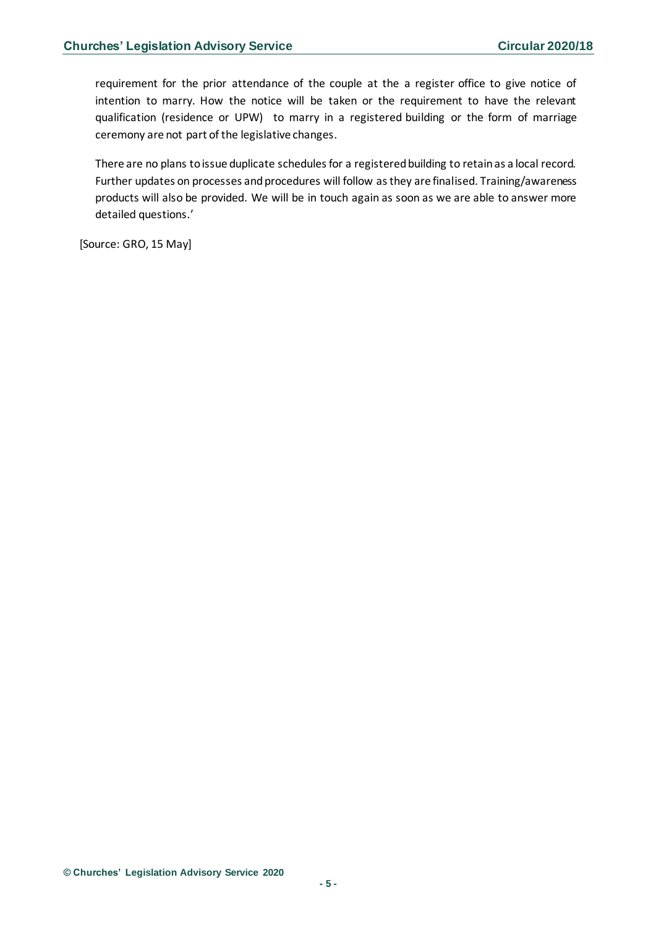requirement for the prior attendance of the couple at the a register office to give notice of intention to marry. How the notice will be taken or the requirement to have the relevant qualification (residence or UPW) to marry in a registered building or the form of marriage ceremony are not part of the legislative changes.

There are no plans to issue duplicate schedules for a registered building to retain as a local record. Further updates on processes and procedures will follow as they are finalised. Training/awareness products will also be provided. We will be in touch again as soon as we are able to answer more detailed questions.'

[Source: GRO, 15 May]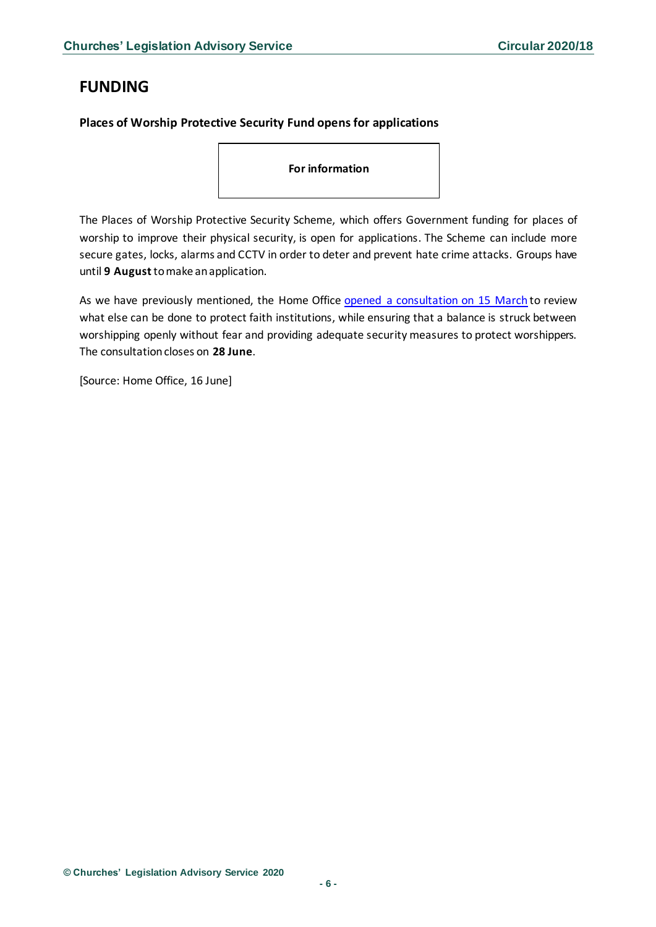# <span id="page-5-0"></span>**FUNDING**

### <span id="page-5-1"></span>**Places of Worship Protective Security Fund opens for applications**

**For information** 

The Places of Worship Protective Security Scheme, which offers Government funding for places of worship to improve their physical security, is open for applications. The Scheme can include more secure gates, locks, alarms and CCTV in order to deter and prevent hate crime attacks. Groups have until **9 August**to make an application.

As we have previously mentioned, the Home Office [opened a consultation on 15 March](https://www.gov.uk/government/consultations/protecting-places-of-worship-consultation) to review what else can be done to protect faith institutions, while ensuring that a balance is struck between worshipping openly without fear and providing adequate security measures to protect worshippers. The consultation closes on **28 June**.

[Source: Home Office, 16 June]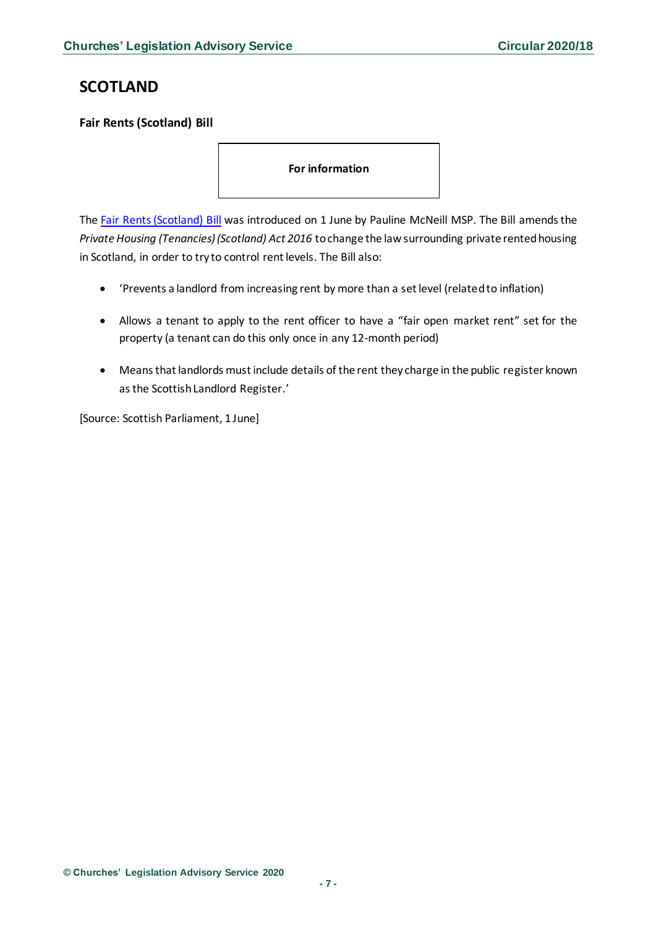# <span id="page-6-0"></span>**SCOTLAND**

<span id="page-6-1"></span>**Fair Rents (Scotland) Bill**

**For information** 

The [Fair Rents \(Scotland\) Bill](https://beta.parliament.scot/-/media/files/legislation/bills/current-bills/fair-rents-scotland-bill/introduced/policy-memorandum-fair-rents-scotland-bill.pdf) was introduced on 1 June by Pauline McNeill MSP. The Bill amends the *Private Housing (Tenancies) (Scotland) Act 2016* to change the law surrounding private rented housing in Scotland, in order to try to control rent levels. The Bill also:

- 'Prevents a landlord from increasing rent by more than a set level (related to inflation)
- Allows a tenant to apply to the rent officer to have a "fair open market rent" set for the property (a tenant can do this only once in any 12-month period)
- Means that landlords must include details of the rent they charge in the public register known as the Scottish Landlord Register.'

[Source: Scottish Parliament, 1 June]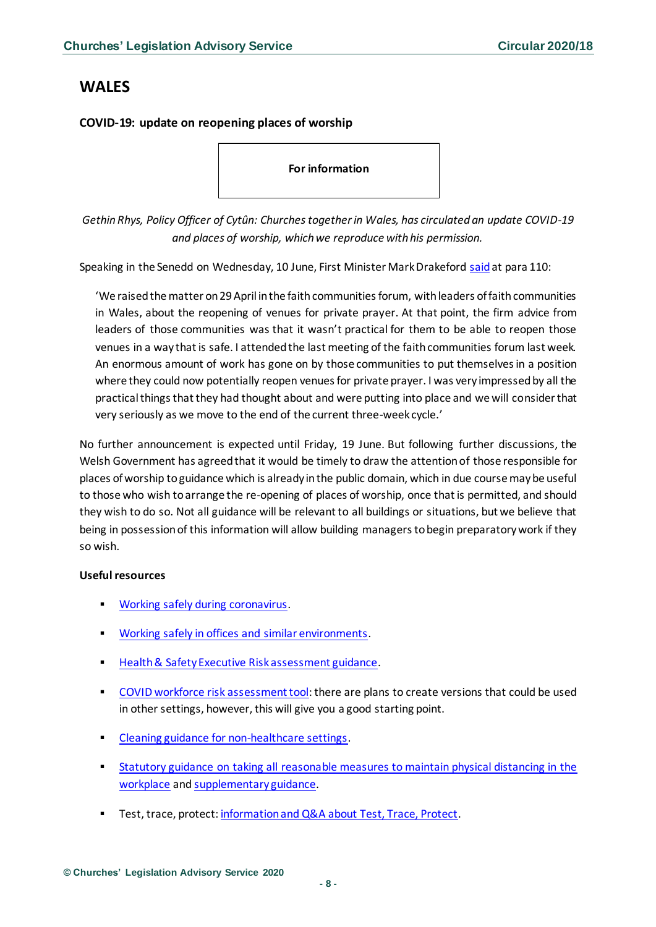## <span id="page-7-0"></span>**WALES**

### <span id="page-7-1"></span>**COVID-19: update on reopening places of worship**

**For information** 

*Gethin Rhys, Policy Officer of Cytûn: Churches together in Wales, has circulated an update COVID-19 and places of worship, which we reproduce with his permission.*

Speaking in the Senedd on Wednesday, 10 June, First Minister Mark Drakeford [said](https://record.assembly.wales/Plenary/6346#C293130)at para 110:

'We raised the matter on 29 April in the faith communities forum, with leaders of faith communities in Wales, about the reopening of venues for private prayer. At that point, the firm advice from leaders of those communities was that it wasn't practical for them to be able to reopen those venues in a way that is safe. I attended the last meeting of the faith communities forum last week. An enormous amount of work has gone on by those communities to put themselves in a position where they could now potentially reopen venues for private prayer. I was very impressed by all the practical things that they had thought about and were putting into place and we will consider that very seriously as we move to the end of the current three-week cycle.'

No further announcement is expected until Friday, 19 June. But following further discussions, the Welsh Government has agreed that it would be timely to draw the attention of those responsible for places of worship to guidance which is already in the public domain, which in due course may be useful to those who wish to arrange the re-opening of places of worship, once that is permitted, and should they wish to do so. Not all guidance will be relevant to all buildings or situations, but we believe that being in possession of this information will allow building managers to begin preparatory work if they so wish.

### **Useful resources**

- [Working safely during coronavirus.](https://www.gov.uk/guidance/working-safely-during-coronavirus-covid-19/5-steps-to-working-safely)
- [Working safely in offices and similar environments.](https://www.gov.uk/guidance/working-safely-during-coronavirus-covid-19/offices-and-contact-centres)
- [Health & Safety Executive Risk assessment guidance.](https://www.hse.gov.uk/coronavirus/working-safely/risk-assessment.htm)
- **[COVID workforce risk assessment tool:](https://gov.wales/covid-19-workforce-risk-assessment-tool) there are plans to create versions that could be used** in other settings, however, this will give you a good starting point.
- [Cleaning guidance for non-healthcare settings](https://www.gov.uk/government/publications/covid-19-decontamination-in-non-healthcare-settings).
- Statutory guidance on taking all reasonable measures to maintain physical distancing in the [workplace](https://gov.wales/taking-all-reasonable-measures-maintain-physical-distancing-workplace) and [supplementary guidance.](https://gov.wales/taking-all-reasonable-measures-maintain-physical-distancing-workplace-supplementary-guidance#section-40343)
- Test, trace, protect: [information and Q&A about Test, Trace, Protect](https://gov.wales/test-trace-protect-your-questions).